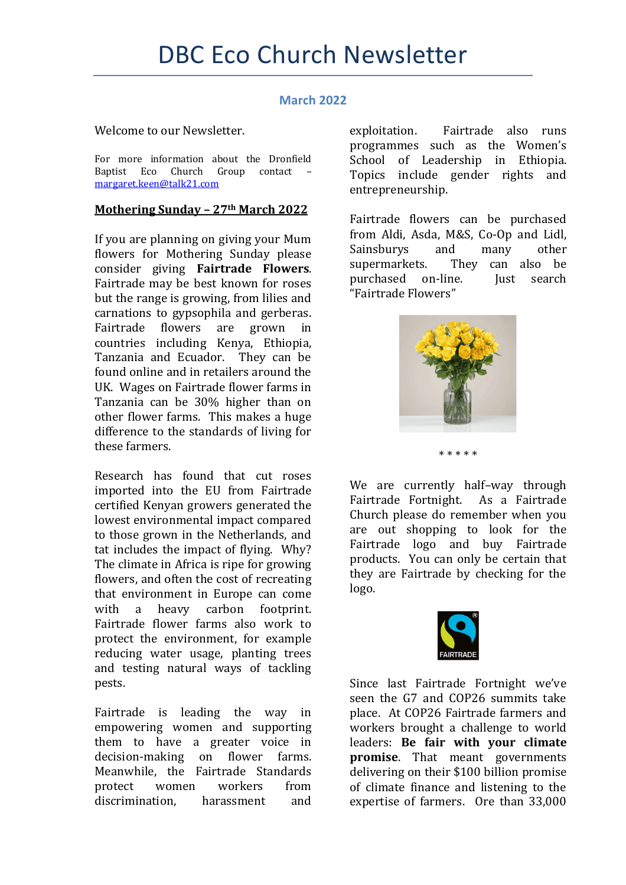## **March 2022**

#### Welcome to our Newsletter.

For more information about the Dronfield Baptist Eco Church Group contact – [margaret.keen@talk21.com](mailto:margaret.keen@talk21.com)

### **Mothering Sunday – 27th March 2022**

If you are planning on giving your Mum flowers for Mothering Sunday please consider giving **Fairtrade Flowers**. Fairtrade may be best known for roses but the range is growing, from lilies and carnations to gypsophila and gerberas. Fairtrade flowers are grown countries including Kenya, Ethiopia, Tanzania and Ecuador. They can be found online and in retailers around the UK. Wages on Fairtrade flower farms in Tanzania can be 30% higher than on other flower farms. This makes a huge difference to the standards of living for these farmers.

Research has found that cut roses imported into the EU from Fairtrade certified Kenyan growers generated the lowest environmental impact compared to those grown in the Netherlands, and tat includes the impact of flying. Why? The climate in Africa is ripe for growing flowers, and often the cost of recreating that environment in Europe can come with a heavy carbon footprint. Fairtrade flower farms also work to protect the environment, for example reducing water usage, planting trees and testing natural ways of tackling pests.

Fairtrade is leading the way in empowering women and supporting them to have a greater voice in decision-making on flower farms. Meanwhile, the Fairtrade Standards protect women workers from discrimination, harassment and

exploitation. Fairtrade also runs programmes such as the Women's School of Leadership in Ethiopia. Topics include gender rights and entrepreneurship.

Fairtrade flowers can be purchased from Aldi, Asda, M&S, Co-Op and Lidl, Sainsburys and many other supermarkets. They can also be purchased on-line. Just search "Fairtrade Flowers"



\* \* \* \* \*

We are currently half-way through Fairtrade Fortnight. As a Fairtrade Church please do remember when you are out shopping to look for the Fairtrade logo and buy Fairtrade products. You can only be certain that they are Fairtrade by checking for the logo.



Since last Fairtrade Fortnight we've seen the G7 and COP26 summits take place. At COP26 Fairtrade farmers and workers brought a challenge to world leaders: **Be fair with your climate promise**. That meant governments delivering on their \$100 billion promise of climate finance and listening to the expertise of farmers. Ore than 33,000